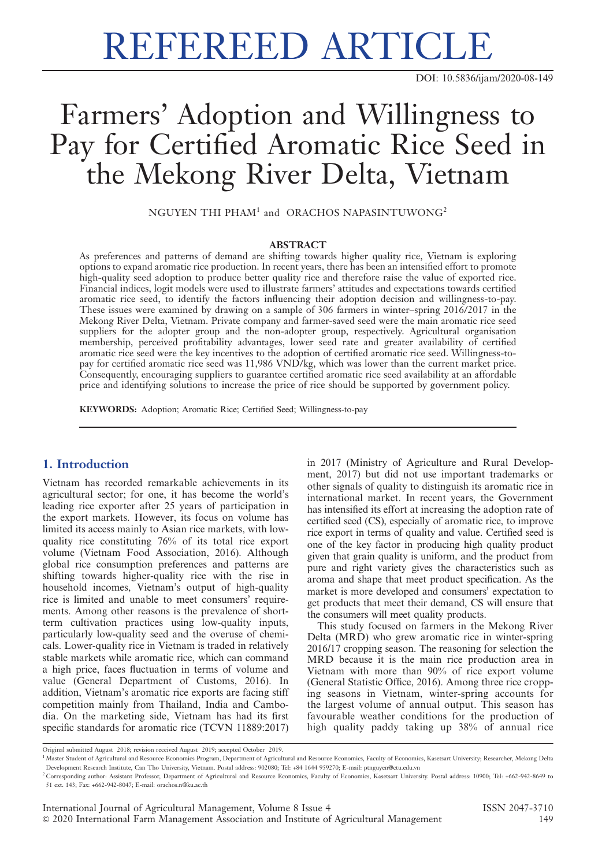# REFEREED ARTICLE

DOI: 10.5836/ijam/2020-08-149

## Farmers' Adoption and Willingness to Pay for Certified Aromatic Rice Seed in the Mekong River Delta, Vietnam

NGUYEN THI PHAM<sup>1</sup> and ORACHOS NAPASINTUWONG<sup>2</sup>

#### ABSTRACT

As preferences and patterns of demand are shifting towards higher quality rice, Vietnam is exploring options to expand aromatic rice production. In recent years, there has been an intensified effort to promote high-quality seed adoption to produce better quality rice and therefore raise the value of exported rice. Financial indices, logit models were used to illustrate farmers' attitudes and expectations towards certified aromatic rice seed, to identify the factors influencing their adoption decision and willingness-to-pay. These issues were examined by drawing on a sample of 306 farmers in winter–spring 2016/2017 in the Mekong River Delta, Vietnam. Private company and farmer-saved seed were the main aromatic rice seed suppliers for the adopter group and the non-adopter group, respectively. Agricultural organisation membership, perceived profitability advantages, lower seed rate and greater availability of certified aromatic rice seed were the key incentives to the adoption of certified aromatic rice seed. Willingness-topay for certified aromatic rice seed was 11,986 VND/kg, which was lower than the current market price. Consequently, encouraging suppliers to guarantee certified aromatic rice seed availability at an affordable price and identifying solutions to increase the price of rice should be supported by government policy.

KEYWORDS: Adoption; Aromatic Rice; Certified Seed; Willingness-to-pay

### 1. Introduction

Vietnam has recorded remarkable achievements in its agricultural sector; for one, it has become the world's leading rice exporter after 25 years of participation in the export markets. However, its focus on volume has limited its access mainly to Asian rice markets, with lowquality rice constituting 76% of its total rice export volume (Vietnam Food Association, 2016). Although global rice consumption preferences and patterns are shifting towards higher-quality rice with the rise in household incomes, Vietnam's output of high-quality rice is limited and unable to meet consumers' requirements. Among other reasons is the prevalence of shortterm cultivation practices using low-quality inputs, particularly low-quality seed and the overuse of chemicals. Lower-quality rice in Vietnam is traded in relatively stable markets while aromatic rice, which can command a high price, faces fluctuation in terms of volume and value (General Department of Customs, 2016). In addition, Vietnam's aromatic rice exports are facing stiff competition mainly from Thailand, India and Cambodia. On the marketing side, Vietnam has had its first specific standards for aromatic rice (TCVN 11889:2017)

in 2017 (Ministry of Agriculture and Rural Development, 2017) but did not use important trademarks or other signals of quality to distinguish its aromatic rice in international market. In recent years, the Government has intensified its effort at increasing the adoption rate of certified seed (CS), especially of aromatic rice, to improve rice export in terms of quality and value. Certified seed is one of the key factor in producing high quality product given that grain quality is uniform, and the product from pure and right variety gives the characteristics such as aroma and shape that meet product specification. As the market is more developed and consumers' expectation to get products that meet their demand, CS will ensure that the consumers will meet quality products.

This study focused on farmers in the Mekong River Delta (MRD) who grew aromatic rice in winter-spring 2016/17 cropping season. The reasoning for selection the MRD because it is the main rice production area in Vietnam with more than 90% of rice export volume (General Statistic Office, 2016). Among three rice cropping seasons in Vietnam, winter-spring accounts for the largest volume of annual output. This season has favourable weather conditions for the production of high quality paddy taking up 38% of annual rice

Original submitted August 2018; revision received August 2019; accepted October 2019.

<sup>&</sup>lt;sup>1</sup> Master Student of Agricultural and Resource Economics Program, Department of Agricultural and Resource Economics, Faculty of Economics, Kasetsart University; Researcher, Mekong Delta Development Research Institute, Can Tho University, Vietnam. Postal address: 902080; Tel: +84 1644 959270; E-mail: ptnguyen@ctu.edu.vn

<sup>2</sup> Corresponding author: Assistant Professor, Department of Agricultural and Resource Economics, Faculty of Economics, Kasetsart University. Postal address: 10900; Tel: +662-942-8649 to 51 ext. 143; Fax: +662-942-8047; E-mail: orachos.n@ku.ac.th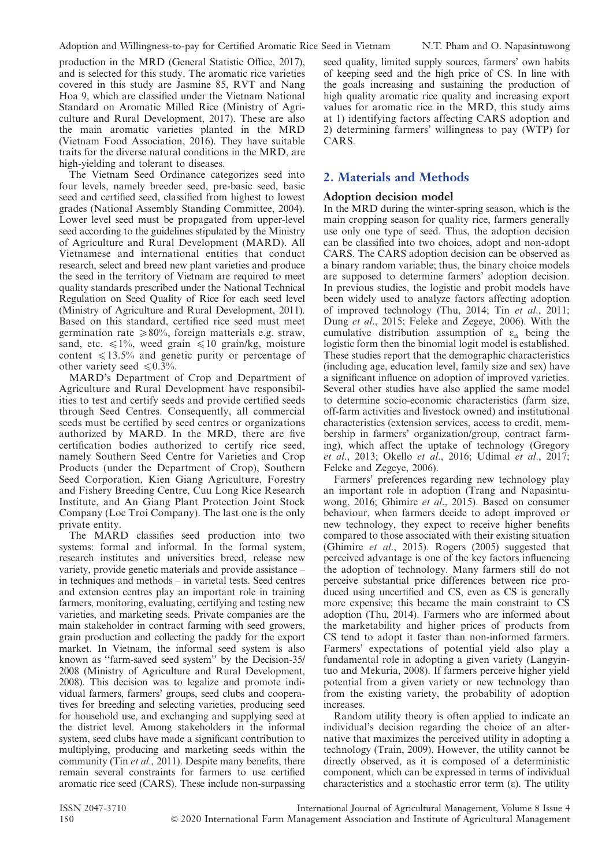production in the MRD (General Statistic Office, 2017), and is selected for this study. The aromatic rice varieties covered in this study are Jasmine 85, RVT and Nang Hoa 9, which are classified under the Vietnam National Standard on Aromatic Milled Rice (Ministry of Agriculture and Rural Development, 2017). These are also the main aromatic varieties planted in the MRD (Vietnam Food Association, 2016). They have suitable traits for the diverse natural conditions in the MRD, are high-yielding and tolerant to diseases.

The Vietnam Seed Ordinance categorizes seed into four levels, namely breeder seed, pre-basic seed, basic seed and certified seed, classified from highest to lowest grades (National Assembly Standing Committee, 2004). Lower level seed must be propagated from upper-level seed according to the guidelines stipulated by the Ministry of Agriculture and Rural Development (MARD). All Vietnamese and international entities that conduct research, select and breed new plant varieties and produce the seed in the territory of Vietnam are required to meet quality standards prescribed under the National Technical Regulation on Seed Quality of Rice for each seed level (Ministry of Agriculture and Rural Development, 2011). Based on this standard, certified rice seed must meet germination rate  $\geq 80\%$ , foreign matterials e.g. straw, sand, etc.  $\leq 1\%$ , weed grain  $\leq 10$  grain/kg, moisture content  $\leq 13.5\%$  and genetic purity or percentage of other variety seed  $\leq 0.3\%$ .

MARD's Department of Crop and Department of Agriculture and Rural Development have responsibilities to test and certify seeds and provide certified seeds through Seed Centres. Consequently, all commercial seeds must be certified by seed centres or organizations authorized by MARD. In the MRD, there are five certification bodies authorized to certify rice seed, namely Southern Seed Centre for Varieties and Crop Products (under the Department of Crop), Southern Seed Corporation, Kien Giang Agriculture, Forestry and Fishery Breeding Centre, Cuu Long Rice Research Institute, and An Giang Plant Protection Joint Stock Company (Loc Troi Company). The last one is the only private entity.

The MARD classifies seed production into two systems: formal and informal. In the formal system, research institutes and universities breed, release new variety, provide genetic materials and provide assistance – in techniques and methods – in varietal tests. Seed centres and extension centres play an important role in training farmers, monitoring, evaluating, certifying and testing new varieties, and marketing seeds. Private companies are the main stakeholder in contract farming with seed growers, grain production and collecting the paddy for the export market. In Vietnam, the informal seed system is also known as ''farm-saved seed system'' by the Decision-35/ 2008 (Ministry of Agriculture and Rural Development, 2008). This decision was to legalize and promote individual farmers, farmers' groups, seed clubs and cooperatives for breeding and selecting varieties, producing seed for household use, and exchanging and supplying seed at the district level. Among stakeholders in the informal system, seed clubs have made a significant contribution to multiplying, producing and marketing seeds within the community (Tin *et al.*, 2011). Despite many benefits, there remain several constraints for farmers to use certified aromatic rice seed (CARS). These include non-surpassing seed quality, limited supply sources, farmers' own habits of keeping seed and the high price of CS. In line with the goals increasing and sustaining the production of high quality aromatic rice quality and increasing export values for aromatic rice in the MRD, this study aims at 1) identifying factors affecting CARS adoption and 2) determining farmers' willingness to pay (WTP) for CARS.

#### 2. Materials and Methods

#### Adoption decision model

In the MRD during the winter-spring season, which is the main cropping season for quality rice, farmers generally use only one type of seed. Thus, the adoption decision can be classified into two choices, adopt and non-adopt CARS. The CARS adoption decision can be observed as a binary random variable; thus, the binary choice models are supposed to determine farmers' adoption decision. In previous studies, the logistic and probit models have been widely used to analyze factors affecting adoption of improved technology (Thu, 2014; Tin et al., 2011; Dung et al., 2015; Feleke and Zegeye, 2006). With the cumulative distribution assumption of  $\varepsilon_n$  being the logistic form then the binomial logit model is established. These studies report that the demographic characteristics (including age, education level, family size and sex) have a significant influence on adoption of improved varieties. Several other studies have also applied the same model to determine socio-economic characteristics (farm size, off-farm activities and livestock owned) and institutional characteristics (extension services, access to credit, membership in farmers' organization/group, contract farming), which affect the uptake of technology (Gregory et al., 2013; Okello et al., 2016; Udimal et al., 2017; Feleke and Zegeye, 2006).

Farmers' preferences regarding new technology play an important role in adoption (Trang and Napasintuwong, 2016; Ghimire et al., 2015). Based on consumer behaviour, when farmers decide to adopt improved or new technology, they expect to receive higher benefits compared to those associated with their existing situation (Ghimire et al., 2015). Rogers (2005) suggested that perceived advantage is one of the key factors influencing the adoption of technology. Many farmers still do not perceive substantial price differences between rice produced using uncertified and CS, even as CS is generally more expensive; this became the main constraint to CS adoption (Thu, 2014). Farmers who are informed about the marketability and higher prices of products from CS tend to adopt it faster than non-informed farmers. Farmers' expectations of potential yield also play a fundamental role in adopting a given variety (Langyintuo and Mekuria, 2008). If farmers perceive higher yield potential from a given variety or new technology than from the existing variety, the probability of adoption increases.

Random utility theory is often applied to indicate an individual's decision regarding the choice of an alternative that maximizes the perceived utility in adopting a technology (Train, 2009). However, the utility cannot be directly observed, as it is composed of a deterministic component, which can be expressed in terms of individual characteristics and a stochastic error term  $(\varepsilon)$ . The utility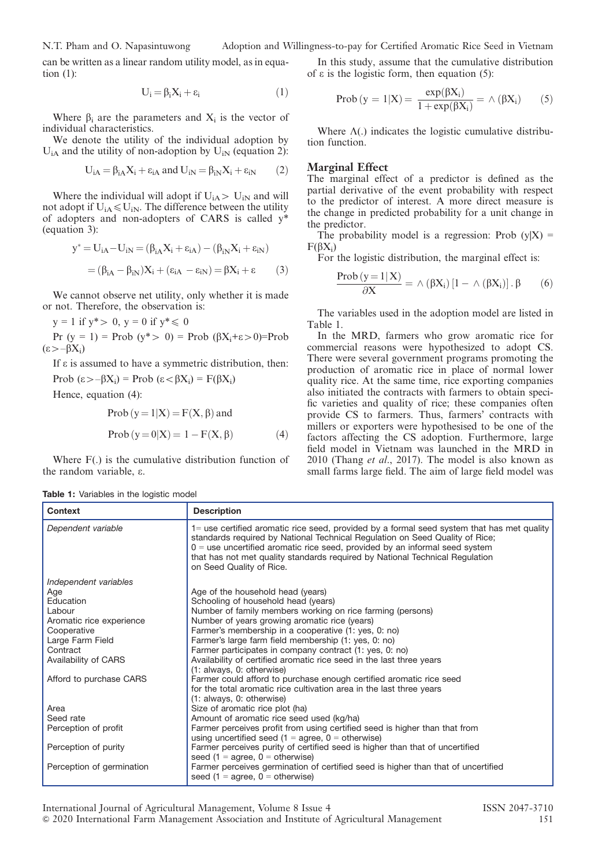N.T. Pham and O. Napasintuwong Adoption and Willingness-to-pay for Certified Aromatic Rice Seed in Vietnam

can be written as a linear random utility model, as in equation (1):

$$
U_i = \beta_i X_i + \epsilon_i \tag{1}
$$

Where  $\beta_i$  are the parameters and  $X_i$  is the vector of individual characteristics.

We denote the utility of the individual adoption by  $U_{iA}$  and the utility of non-adoption by  $U_{iN}$  (equation 2):

$$
U_{iA} = \beta_{iA} X_i + \varepsilon_{iA} \text{ and } U_{iN} = \beta_{iN} X_i + \varepsilon_{iN} \qquad (2)
$$

Where the individual will adopt if  $U_{iA} > U_{iN}$  and will not adopt if  $U_{iA} \leq U_{iN}$ . The difference between the utility of adopters and non-adopters of CARS is called y\* (equation 3):

$$
y^* = U_{iA} - U_{iN} = (\beta_{iA}X_i + \varepsilon_{iA}) - (\beta_{iN}X_i + \varepsilon_{iN})
$$
  
= 
$$
(\beta_{iA} - \beta_{iN})X_i + (\varepsilon_{iA} - \varepsilon_{iN}) = \beta X_i + \varepsilon
$$
 (3)

We cannot observe net utility, only whether it is made or not. Therefore, the observation is:

$$
y = 1
$$
 if  $y^* > 0$ ,  $y = 0$  if  $y^* \le 0$ 

Pr  $(y = 1)$  = Prob  $(y^* > 0)$  = Prob  $(\beta X_i + \epsilon > 0)$ =Prob  $(\epsilon > -\beta X_i)$ 

If  $\varepsilon$  is assumed to have a symmetric distribution, then:

Prob  $(\epsilon > -\beta X_i)$  = Prob  $(\epsilon < \beta X_i)$  = F( $\beta X_i$ )

Hence, equation (4):

$$
Prob (y = 1 | X) = F(X, \beta) \text{ and }
$$

$$
Prob (y = 0|X) = 1 - F(X, \beta)
$$
 (4)

Where F(.) is the cumulative distribution function of the random variable, e.

In this study, assume that the cumulative distribution of  $\varepsilon$  is the logistic form, then equation (5):

$$
\text{Prob}\left(y = 1 | X\right) = \frac{\exp(\beta X_i)}{1 + \exp(\beta X_i)} = \wedge (\beta X_i) \qquad (5)
$$

Where  $\Lambda$ (.) indicates the logistic cumulative distribution function.

#### Marginal Effect

The marginal effect of a predictor is defined as the partial derivative of the event probability with respect to the predictor of interest. A more direct measure is the change in predicted probability for a unit change in the predictor.

The probability model is a regression: Prob  $(y|X)$  =  $F(BX_i)$ 

For the logistic distribution, the marginal effect is:

$$
\frac{\text{Prob}(y=1|\mathbf{X})}{\partial \mathbf{X}} = \wedge (\beta \mathbf{X}_i) [1 - \wedge (\beta \mathbf{X}_i)]. \beta \qquad (6)
$$

The variables used in the adoption model are listed in Table 1.

In the MRD, farmers who grow aromatic rice for commercial reasons were hypothesized to adopt CS. There were several government programs promoting the production of aromatic rice in place of normal lower quality rice. At the same time, rice exporting companies also initiated the contracts with farmers to obtain specific varieties and quality of rice; these companies often provide CS to farmers. Thus, farmers' contracts with millers or exporters were hypothesised to be one of the factors affecting the CS adoption. Furthermore, large field model in Vietnam was launched in the MRD in 2010 (Thang et al., 2017). The model is also known as small farms large field. The aim of large field model was

|  |  | <b>Table 1:</b> Variables in the logistic model |  |  |  |
|--|--|-------------------------------------------------|--|--|--|
|--|--|-------------------------------------------------|--|--|--|

| Context                   | <b>Description</b>                                                                                                                                                                                                                                                                                                                                                      |
|---------------------------|-------------------------------------------------------------------------------------------------------------------------------------------------------------------------------------------------------------------------------------------------------------------------------------------------------------------------------------------------------------------------|
| Dependent variable        | 1= use certified aromatic rice seed, provided by a formal seed system that has met quality<br>standards required by National Technical Regulation on Seed Quality of Rice;<br>$0 =$ use uncertified aromatic rice seed, provided by an informal seed system<br>that has not met quality standards required by National Technical Regulation<br>on Seed Quality of Rice. |
| Independent variables     |                                                                                                                                                                                                                                                                                                                                                                         |
| Age                       | Age of the household head (years)                                                                                                                                                                                                                                                                                                                                       |
| Education                 | Schooling of household head (years)                                                                                                                                                                                                                                                                                                                                     |
| Labour                    | Number of family members working on rice farming (persons)                                                                                                                                                                                                                                                                                                              |
| Aromatic rice experience  | Number of years growing aromatic rice (years)                                                                                                                                                                                                                                                                                                                           |
| Cooperative               | Farmer's membership in a cooperative (1: yes, 0: no)                                                                                                                                                                                                                                                                                                                    |
| Large Farm Field          | Farmer's large farm field membership (1: yes, 0: no)                                                                                                                                                                                                                                                                                                                    |
| Contract                  | Farmer participates in company contract (1: yes, 0: no)                                                                                                                                                                                                                                                                                                                 |
| Availability of CARS      | Availability of certified aromatic rice seed in the last three years                                                                                                                                                                                                                                                                                                    |
|                           | (1: always, 0: otherwise)                                                                                                                                                                                                                                                                                                                                               |
| Afford to purchase CARS   | Farmer could afford to purchase enough certified aromatic rice seed                                                                                                                                                                                                                                                                                                     |
|                           | for the total aromatic rice cultivation area in the last three years                                                                                                                                                                                                                                                                                                    |
|                           | (1: always, 0: otherwise)                                                                                                                                                                                                                                                                                                                                               |
| Area<br>Seed rate         | Size of aromatic rice plot (ha)                                                                                                                                                                                                                                                                                                                                         |
|                           | Amount of aromatic rice seed used (kg/ha)                                                                                                                                                                                                                                                                                                                               |
| Perception of profit      | Farmer perceives profit from using certified seed is higher than that from<br>using uncertified seed ( $1 =$ agree, $0 =$ otherwise)                                                                                                                                                                                                                                    |
| Perception of purity      | Farmer perceives purity of certified seed is higher than that of uncertified                                                                                                                                                                                                                                                                                            |
|                           | seed $(1 = aqree, 0 = otherwise)$                                                                                                                                                                                                                                                                                                                                       |
| Perception of germination | Farmer perceives germination of certified seed is higher than that of uncertified<br>seed $(1 = \text{agree}, 0 = \text{otherwise})$                                                                                                                                                                                                                                    |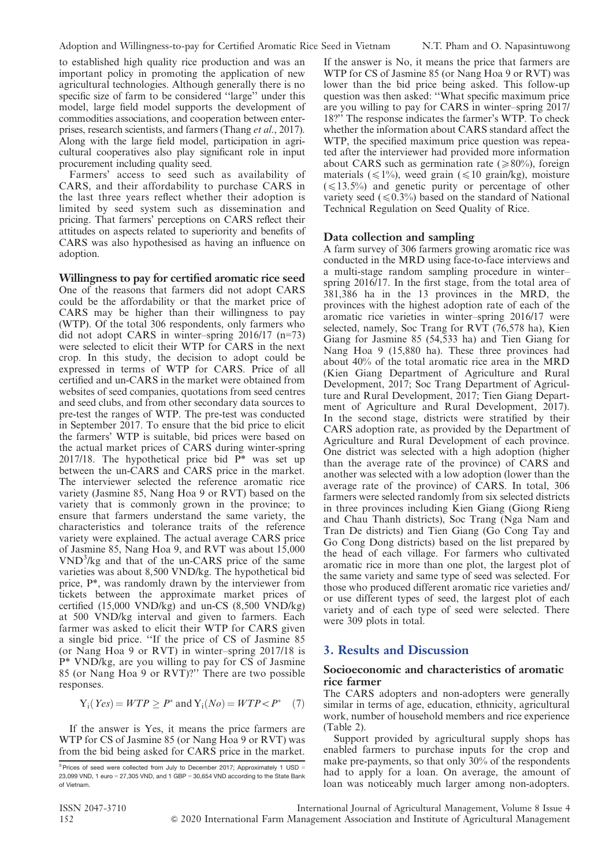to established high quality rice production and was an important policy in promoting the application of new agricultural technologies. Although generally there is no specific size of farm to be considered ''large'' under this model, large field model supports the development of commodities associations, and cooperation between enterprises, research scientists, and farmers (Thang et al., 2017). Along with the large field model, participation in agricultural cooperatives also play significant role in input procurement including quality seed.

Farmers' access to seed such as availability of CARS, and their affordability to purchase CARS in the last three years reflect whether their adoption is limited by seed system such as dissemination and pricing. That farmers' perceptions on CARS reflect their attitudes on aspects related to superiority and benefits of CARS was also hypothesised as having an influence on adoption.

Willingness to pay for certified aromatic rice seed One of the reasons that farmers did not adopt CARS could be the affordability or that the market price of CARS may be higher than their willingness to pay (WTP). Of the total 306 respondents, only farmers who did not adopt CARS in winter–spring 2016/17 (n=73) were selected to elicit their WTP for CARS in the next crop. In this study, the decision to adopt could be expressed in terms of WTP for CARS. Price of all certified and un-CARS in the market were obtained from websites of seed companies, quotations from seed centres and seed clubs, and from other secondary data sources to pre-test the ranges of WTP. The pre-test was conducted in September 2017. To ensure that the bid price to elicit the farmers' WTP is suitable, bid prices were based on the actual market prices of CARS during winter-spring  $2017/18$ . The hypothetical price bid  $P^*$  was set up between the un-CARS and CARS price in the market. The interviewer selected the reference aromatic rice variety (Jasmine 85, Nang Hoa 9 or RVT) based on the variety that is commonly grown in the province; to ensure that farmers understand the same variety, the characteristics and tolerance traits of the reference variety were explained. The actual average CARS price of Jasmine 85, Nang Hoa 9, and RVT was about 15,000 VND<sup>3</sup> /kg and that of the un-CARS price of the same varieties was about 8,500 VND/kg. The hypothetical bid price, P\*, was randomly drawn by the interviewer from tickets between the approximate market prices of certified (15,000 VND/kg) and un-CS (8,500 VND/kg) at 500 VND/kg interval and given to farmers. Each farmer was asked to elicit their WTP for CARS given a single bid price. ''If the price of CS of Jasmine 85 (or Nang Hoa 9 or RVT) in winter–spring 2017/18 is P\* VND/kg, are you willing to pay for CS of Jasmine 85 (or Nang Hoa 9 or RVT)?'' There are two possible responses.

$$
Y_i(Yes) = WTP \ge P^* \text{ and } Y_i(No) = WTP < P^* \quad (7)
$$

If the answer is Yes, it means the price farmers are WTP for CS of Jasmine 85 (or Nang Hoa 9 or RVT) was from the bid being asked for CARS price in the market.

If the answer is No, it means the price that farmers are WTP for CS of Jasmine 85 (or Nang Hoa 9 or RVT) was lower than the bid price being asked. This follow-up question was then asked: ''What specific maximum price are you willing to pay for CARS in winter–spring 2017/ 18?'' The response indicates the farmer's WTP. To check whether the information about CARS standard affect the WTP, the specified maximum price question was repeated after the interviewer had provided more information about CARS such as germination rate ( $\geq 80\%$ ), foreign materials ( $\leq 1\%$ ), weed grain ( $\leq 10$  grain/kg), moisture  $(\leq 13.5\%)$  and genetic purity or percentage of other variety seed  $(\leq 0.3\%)$  based on the standard of National Technical Regulation on Seed Quality of Rice.

#### Data collection and sampling

A farm survey of 306 farmers growing aromatic rice was conducted in the MRD using face-to-face interviews and a multi-stage random sampling procedure in winter– spring 2016/17. In the first stage, from the total area of 381,386 ha in the 13 provinces in the MRD, the provinces with the highest adoption rate of each of the aromatic rice varieties in winter–spring 2016/17 were selected, namely, Soc Trang for RVT (76,578 ha), Kien Giang for Jasmine 85 (54,533 ha) and Tien Giang for Nang Hoa 9 (15,880 ha). These three provinces had about 40% of the total aromatic rice area in the MRD (Kien Giang Department of Agriculture and Rural Development, 2017; Soc Trang Department of Agriculture and Rural Development, 2017; Tien Giang Department of Agriculture and Rural Development, 2017). In the second stage, districts were stratified by their CARS adoption rate, as provided by the Department of Agriculture and Rural Development of each province. One district was selected with a high adoption (higher than the average rate of the province) of CARS and another was selected with a low adoption (lower than the average rate of the province) of CARS. In total, 306 farmers were selected randomly from six selected districts in three provinces including Kien Giang (Giong Rieng and Chau Thanh districts), Soc Trang (Nga Nam and Tran De districts) and Tien Giang (Go Cong Tay and Go Cong Dong districts) based on the list prepared by the head of each village. For farmers who cultivated aromatic rice in more than one plot, the largest plot of the same variety and same type of seed was selected. For those who produced different aromatic rice varieties and/ or use different types of seed, the largest plot of each variety and of each type of seed were selected. There were 309 plots in total.

#### 3. Results and Discussion

#### Socioeconomic and characteristics of aromatic rice farmer

The CARS adopters and non-adopters were generally similar in terms of age, education, ethnicity, agricultural work, number of household members and rice experience (Table 2).

Support provided by agricultural supply shops has enabled farmers to purchase inputs for the crop and make pre-payments, so that only 30% of the respondents had to apply for a loan. On average, the amount of loan was noticeably much larger among non-adopters.

 $3$  Prices of seed were collected from July to December 2017; Approximately 1 USD = 23,099 VND, 1 euro = 27,305 VND, and 1 GBP = 30,654 VND according to the State Bank of Vietnam.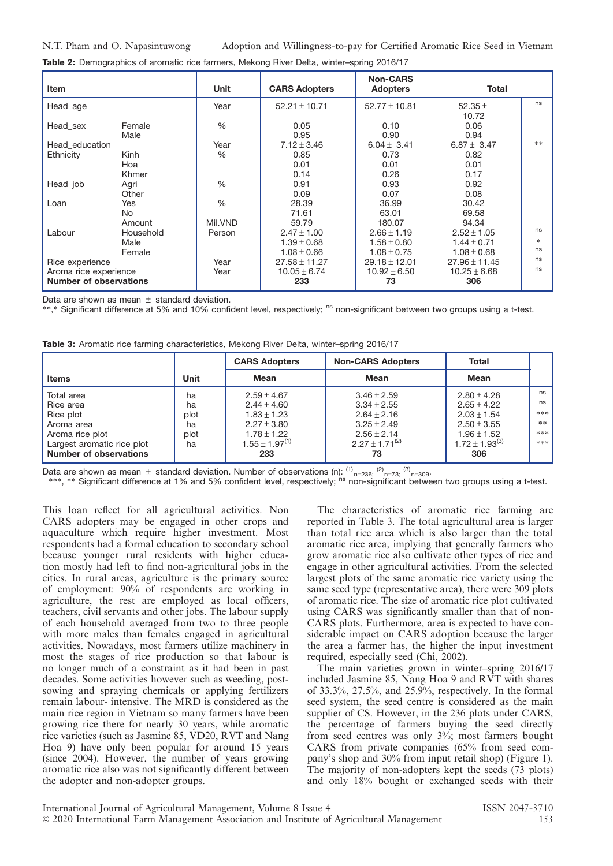Table 2: Demographics of aromatic rice farmers, Mekong River Delta, winter-spring 2016/17

| <b>Item</b>                   |            | Unit          | <b>CARS Adopters</b> | <b>Non-CARS</b><br><b>Adopters</b> | <b>Total</b>      |        |
|-------------------------------|------------|---------------|----------------------|------------------------------------|-------------------|--------|
| Head age                      |            | Year          | $52.21 \pm 10.71$    | $52.77 \pm 10.81$                  | 52.35 $\pm$       | ns     |
|                               |            |               |                      |                                    | 10.72             |        |
| Head sex                      | Female     | %             | 0.05                 | 0.10                               | 0.06              |        |
|                               | Male       |               | 0.95                 | 0.90                               | 0.94              |        |
| Head education                |            | Year          | $7.12 \pm 3.46$      | $6.04 \pm 3.41$                    | $6.87 \pm 3.47$   | $**$   |
| Ethnicity                     | Kinh       | $\%$          | 0.85                 | 0.73                               | 0.82              |        |
|                               | Hoa        |               | 0.01                 | 0.01                               | 0.01              |        |
|                               | Khmer      |               | 0.14                 | 0.26                               | 0.17              |        |
| Head_job                      | Agri       | $\frac{0}{0}$ | 0.91                 | 0.93                               | 0.92              |        |
|                               | Other      |               | 0.09                 | 0.07                               | 0.08              |        |
| Loan                          | <b>Yes</b> | $\frac{0}{0}$ | 28.39                | 36.99                              | 30.42             |        |
|                               | No.        |               | 71.61                | 63.01                              | 69.58             |        |
|                               | Amount     | Mil.VND       | 59.79                | 180.07                             | 94.34             |        |
| Labour                        | Household  | Person        | $2.47 \pm 1.00$      | $2.66 \pm 1.19$                    | $2.52 \pm 1.05$   | ns     |
|                               | Male       |               | $1.39 \pm 0.68$      | $1.58 \pm 0.80$                    | $1.44 \pm 0.71$   | $\ast$ |
|                               | Female     |               | $1.08 \pm 0.66$      | $1.08 \pm 0.75$                    | $1.08 \pm 0.68$   | ns     |
| Rice experience               |            | Year          | $27.58 \pm 11.27$    | $29.18 \pm 12.01$                  | $27.96 \pm 11.45$ | ns     |
| Aroma rice experience         |            | Year          | $10.05 \pm 6.74$     | $10.92 \pm 6.50$                   | $10.25 \pm 6.68$  | ns     |
| <b>Number of observations</b> |            |               | 233                  | 73                                 | 306               |        |

Data are shown as mean  $\pm$  standard deviation.

\*\*,\* Significant difference at 5% and 10% confident level, respectively; <sup>ns</sup> non-significant between two groups using a t-test.

|  |  |  |  | Table 3: Aromatic rice farming characteristics, Mekong River Delta, winter-spring 2016/17 |  |
|--|--|--|--|-------------------------------------------------------------------------------------------|--|
|  |  |  |  |                                                                                           |  |
|  |  |  |  |                                                                                           |  |

|                            |      | <b>CARS Adopters</b>  | <b>Non-CARS Adopters</b> | Total                 |      |
|----------------------------|------|-----------------------|--------------------------|-----------------------|------|
| <b>Items</b>               | Unit | Mean                  | Mean                     | Mean                  |      |
| Total area                 | ha   | $2.59 \pm 4.67$       | $3.46 \pm 2.59$          | $2.80 + 4.28$         | ns   |
| Rice area                  | ha   | $2.44 \pm 4.60$       | $3.34 \pm 2.55$          | $2.65 \pm 4.22$       | ns   |
| Rice plot                  | plot | $1.83 \pm 1.23$       | $2.64 \pm 2.16$          | $2.03 \pm 1.54$       | ***  |
| Aroma area                 | ha   | $2.27 \pm 3.80$       | $3.25 + 2.49$            | $2.50 \pm 3.55$       | $**$ |
| Aroma rice plot            | plot | $1.78 \pm 1.22$       | $2.56 + 2.14$            | $1.96 \pm 1.52$       | ***  |
| Largest aromatic rice plot | ha   | $1.55 \pm 1.97^{(1)}$ | $2.27 + 1.71^{(2)}$      | $1.72 \pm 1.93^{(3)}$ | ***  |
| Number of observations     |      | 233                   | 73                       | 306                   |      |

Data are shown as mean  $\pm$  standard deviation. Number of observations (n):  $^{(1)}$ <sub>n=236;</sub>  $^{(2)}$ <sub>n=73;</sub>  $^{(3)}$ <sub>n=309</sub>.

\*\*\*, \*\* Significant difference at 1% and 5% confident level, respectively; ns non-significant between two groups using a t-test.

This loan reflect for all agricultural activities. Non CARS adopters may be engaged in other crops and aquaculture which require higher investment. Most respondents had a formal education to secondary school because younger rural residents with higher education mostly had left to find non-agricultural jobs in the cities. In rural areas, agriculture is the primary source of employment: 90% of respondents are working in agriculture, the rest are employed as local officers, teachers, civil servants and other jobs. The labour supply of each household averaged from two to three people with more males than females engaged in agricultural activities. Nowadays, most farmers utilize machinery in most the stages of rice production so that labour is no longer much of a constraint as it had been in past decades. Some activities however such as weeding, postsowing and spraying chemicals or applying fertilizers remain labour- intensive. The MRD is considered as the main rice region in Vietnam so many farmers have been growing rice there for nearly 30 years, while aromatic rice varieties (such as Jasmine 85, VD20, RVT and Nang Hoa 9) have only been popular for around 15 years (since 2004). However, the number of years growing aromatic rice also was not significantly different between the adopter and non-adopter groups.

The characteristics of aromatic rice farming are reported in Table 3. The total agricultural area is larger than total rice area which is also larger than the total aromatic rice area, implying that generally farmers who grow aromatic rice also cultivate other types of rice and engage in other agricultural activities. From the selected largest plots of the same aromatic rice variety using the same seed type (representative area), there were 309 plots of aromatic rice. The size of aromatic rice plot cultivated using CARS was significantly smaller than that of non-CARS plots. Furthermore, area is expected to have considerable impact on CARS adoption because the larger the area a farmer has, the higher the input investment required, especially seed (Chi, 2002).

The main varieties grown in winter–spring 2016/17 included Jasmine 85, Nang Hoa 9 and RVT with shares of 33.3%, 27.5%, and 25.9%, respectively. In the formal seed system, the seed centre is considered as the main supplier of CS. However, in the 236 plots under CARS, the percentage of farmers buying the seed directly from seed centres was only 3%; most farmers bought CARS from private companies (65% from seed company's shop and 30% from input retail shop) (Figure 1). The majority of non-adopters kept the seeds (73 plots) and only 18% bought or exchanged seeds with their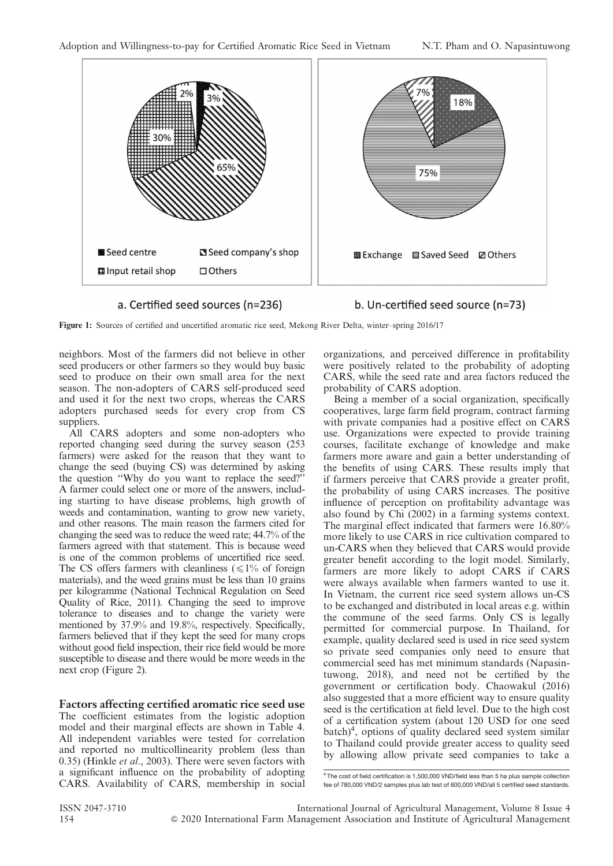

a. Certified seed sources (n=236)

b. Un-certified seed source (n=73)

Figure 1: Sources of certified and uncertified aromatic rice seed, Mekong River Delta, winter–spring 2016/17

neighbors. Most of the farmers did not believe in other seed producers or other farmers so they would buy basic seed to produce on their own small area for the next season. The non-adopters of CARS self-produced seed and used it for the next two crops, whereas the CARS adopters purchased seeds for every crop from CS suppliers.

All CARS adopters and some non-adopters who reported changing seed during the survey season (253 farmers) were asked for the reason that they want to change the seed (buying CS) was determined by asking the question ''Why do you want to replace the seed?'' A farmer could select one or more of the answers, including starting to have disease problems, high growth of weeds and contamination, wanting to grow new variety, and other reasons. The main reason the farmers cited for changing the seed was to reduce the weed rate; 44.7% of the farmers agreed with that statement. This is because weed is one of the common problems of uncertified rice seed. The CS offers farmers with cleanliness  $(\leq 1\%$  of foreign materials), and the weed grains must be less than 10 grains per kilogramme (National Technical Regulation on Seed Quality of Rice, 2011). Changing the seed to improve tolerance to diseases and to change the variety were mentioned by 37.9% and 19.8%, respectively. Specifically, farmers believed that if they kept the seed for many crops without good field inspection, their rice field would be more susceptible to disease and there would be more weeds in the next crop (Figure 2).

Factors affecting certified aromatic rice seed use The coefficient estimates from the logistic adoption model and their marginal effects are shown in Table 4. All independent variables were tested for correlation and reported no multicollinearity problem (less than 0.35) (Hinkle et al., 2003). There were seven factors with a significant influence on the probability of adopting CARS. Availability of CARS, membership in social organizations, and perceived difference in profitability were positively related to the probability of adopting CARS, while the seed rate and area factors reduced the probability of CARS adoption.

Being a member of a social organization, specifically cooperatives, large farm field program, contract farming with private companies had a positive effect on CARS use. Organizations were expected to provide training courses, facilitate exchange of knowledge and make farmers more aware and gain a better understanding of the benefits of using CARS. These results imply that if farmers perceive that CARS provide a greater profit, the probability of using CARS increases. The positive influence of perception on profitability advantage was also found by Chi (2002) in a farming systems context. The marginal effect indicated that farmers were 16.80% more likely to use CARS in rice cultivation compared to un-CARS when they believed that CARS would provide greater benefit according to the logit model. Similarly, farmers are more likely to adopt CARS if CARS were always available when farmers wanted to use it. In Vietnam, the current rice seed system allows un-CS to be exchanged and distributed in local areas e.g. within the commune of the seed farms. Only CS is legally permitted for commercial purpose. In Thailand, for example, quality declared seed is used in rice seed system so private seed companies only need to ensure that commercial seed has met minimum standards (Napasintuwong, 2018), and need not be certified by the government or certification body. Chaowakul (2016) also suggested that a more efficient way to ensure quality seed is the certification at field level. Due to the high cost of a certification system (about 120 USD for one seed batch)<sup>4</sup>, options of quality declared seed system similar to Thailand could provide greater access to quality seed by allowing allow private seed companies to take a

<sup>&</sup>lt;sup>4</sup> The cost of field certification is 1,500,000 VND/field less than 5 ha plus sample collection fee of 780,000 VND/2 samples plus lab test of 600,000 VND/all 5 certified seed standards.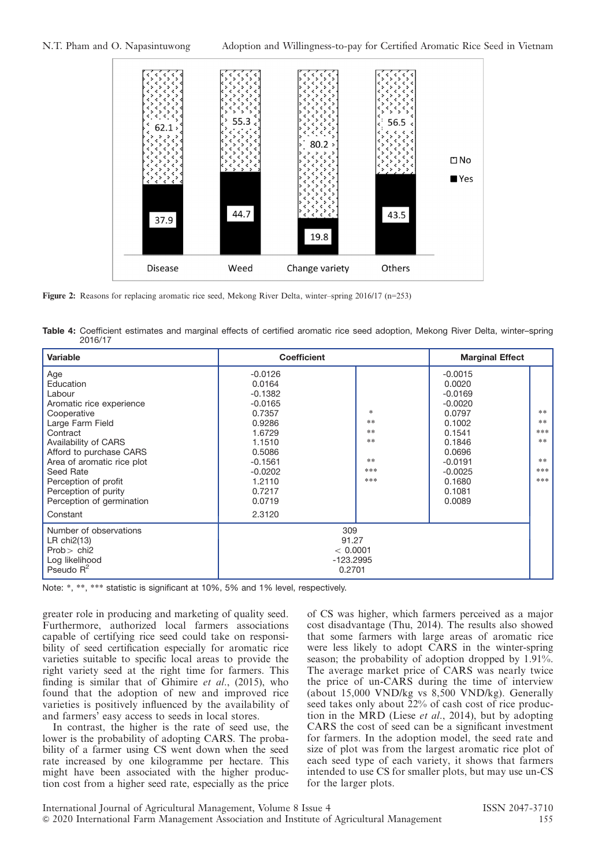

Figure 2: Reasons for replacing aromatic rice seed, Mekong River Delta, winter–spring 2016/17 (n=253)

Table 4: Coefficient estimates and marginal effects of certified aromatic rice seed adoption, Mekong River Delta, winter-spring 2016/17

| Variable                                                                                                                                                                                                                                                                         | <b>Coefficient</b>                                                                                                                                      |                                                 | <b>Marginal Effect</b>                                                                                                                                  |                                                   |
|----------------------------------------------------------------------------------------------------------------------------------------------------------------------------------------------------------------------------------------------------------------------------------|---------------------------------------------------------------------------------------------------------------------------------------------------------|-------------------------------------------------|---------------------------------------------------------------------------------------------------------------------------------------------------------|---------------------------------------------------|
| Age<br>Education<br>Labour<br>Aromatic rice experience<br>Cooperative<br>Large Farm Field<br>Contract<br>Availability of CARS<br>Afford to purchase CARS<br>Area of aromatic rice plot<br>Seed Rate<br>Perception of profit<br>Perception of purity<br>Perception of germination | $-0.0126$<br>0.0164<br>$-0.1382$<br>$-0.0165$<br>0.7357<br>0.9286<br>1.6729<br>1.1510<br>0.5086<br>$-0.1561$<br>$-0.0202$<br>1.2110<br>0.7217<br>0.0719 | *<br>$**$<br>**<br>$**$<br>$**$<br>***<br>***   | $-0.0015$<br>0.0020<br>$-0.0169$<br>$-0.0020$<br>0.0797<br>0.1002<br>0.1541<br>0.1846<br>0.0696<br>$-0.0191$<br>$-0.0025$<br>0.1680<br>0.1081<br>0.0089 | $**$<br>$**$<br>***<br>$**$<br>$**$<br>***<br>*** |
| Constant                                                                                                                                                                                                                                                                         | 2.3120                                                                                                                                                  |                                                 |                                                                                                                                                         |                                                   |
| Number of observations<br>LR $chi2(13)$<br>$Prob$ chi <sub>2</sub><br>Log likelihood<br>Pseudo $R^2$                                                                                                                                                                             |                                                                                                                                                         | 309<br>91.27<br>< 0.0001<br>-123.2995<br>0.2701 |                                                                                                                                                         |                                                   |

Note: \*, \*\*, \*\*\* statistic is significant at 10%, 5% and 1% level, respectively.

greater role in producing and marketing of quality seed. Furthermore, authorized local farmers associations capable of certifying rice seed could take on responsibility of seed certification especially for aromatic rice varieties suitable to specific local areas to provide the right variety seed at the right time for farmers. This finding is similar that of Ghimire  $et$  al., (2015), who found that the adoption of new and improved rice varieties is positively influenced by the availability of and farmers' easy access to seeds in local stores.

In contrast, the higher is the rate of seed use, the lower is the probability of adopting CARS. The probability of a farmer using CS went down when the seed rate increased by one kilogramme per hectare. This might have been associated with the higher production cost from a higher seed rate, especially as the price of CS was higher, which farmers perceived as a major cost disadvantage (Thu, 2014). The results also showed that some farmers with large areas of aromatic rice were less likely to adopt CARS in the winter-spring season; the probability of adoption dropped by 1.91%. The average market price of CARS was nearly twice the price of un-CARS during the time of interview (about 15,000 VND/kg vs 8,500 VND/kg). Generally seed takes only about 22% of cash cost of rice production in the MRD (Liese *et al.*, 2014), but by adopting CARS the cost of seed can be a significant investment for farmers. In the adoption model, the seed rate and size of plot was from the largest aromatic rice plot of each seed type of each variety, it shows that farmers intended to use CS for smaller plots, but may use un-CS for the larger plots.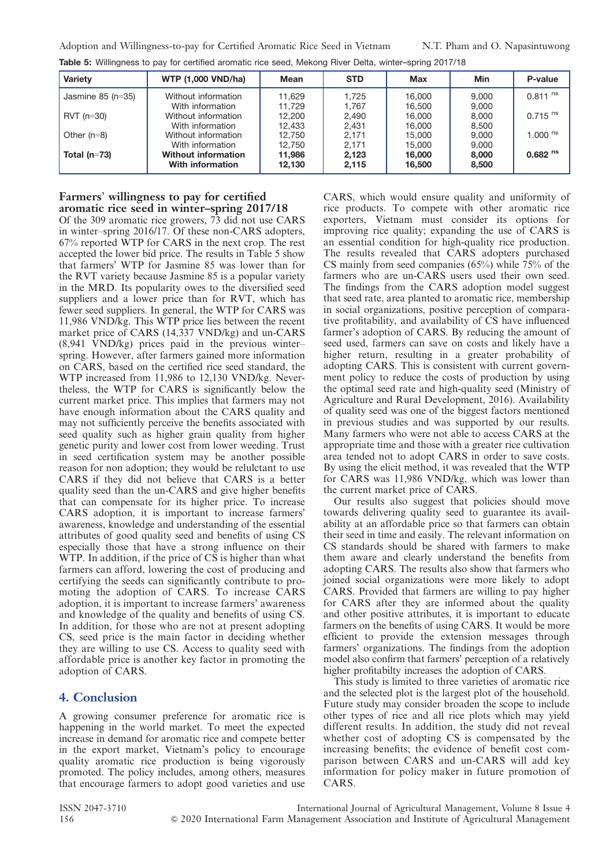| Variety             | <b>WTP (1,000 VND/ha)</b>                      | Mean             | <b>STD</b>     | Max              | Min            | P-value               |
|---------------------|------------------------------------------------|------------------|----------------|------------------|----------------|-----------------------|
| Jasmine $85$ (n=35) | Without information<br>With information        | 11.629<br>11.729 | 1,725<br>1.767 | 16,000<br>16,500 | 9.000<br>9,000 | $0.811$ <sup>ns</sup> |
| $RVT$ (n=30)        | Without information<br>With information        | 12.200<br>12.433 | 2,490<br>2,431 | 16,000<br>16,000 | 8,000<br>8,500 | $0.715$ <sup>ns</sup> |
| Other $(n=8)$       | Without information<br>With information        | 12.750<br>12.750 | 2,171<br>2.171 | 15,000<br>15.000 | 9,000<br>9,000 | 1.000 $^{\text{ns}}$  |
| Total $(n=73)$      | <b>Without information</b><br>With information | 11,986<br>12.130 | 2,123<br>2.115 | 16,000<br>16,500 | 8,000<br>8,500 | $0.682$ <sup>ns</sup> |

Table 5: Willingness to pay for certified aromatic rice seed, Mekong River Delta, winter-spring 2017/18

#### Farmers' willingness to pay for certified aromatic rice seed in winter–spring 2017/18

Of the 309 aromatic rice growers, 73 did not use CARS in winter–spring 2016/17. Of these non-CARS adopters, 67% reported WTP for CARS in the next crop. The rest accepted the lower bid price. The results in Table 5 show that farmers' WTP for Jasmine 85 was lower than for the RVT variety because Jasmine 85 is a popular variety in the MRD. Its popularity owes to the diversified seed suppliers and a lower price than for RVT, which has fewer seed suppliers. In general, the WTP for CARS was 11,986 VND/kg. This WTP price lies between the recent market price of CARS (14,337 VND/kg) and un-CARS (8,941 VND/kg) prices paid in the previous winter– spring. However, after farmers gained more information on CARS, based on the certified rice seed standard, the WTP increased from 11,986 to 12,130 VND/kg. Nevertheless, the WTP for CARS is significantly below the current market price. This implies that farmers may not have enough information about the CARS quality and may not sufficiently perceive the benefits associated with seed quality such as higher grain quality from higher genetic purity and lower cost from lower weeding. Trust in seed certification system may be another possible reason for non adoption; they would be relulctant to use CARS if they did not believe that CARS is a better quality seed than the un-CARS and give higher benefits that can compensate for its higher price. To increase CARS adoption, it is important to increase farmers' awareness, knowledge and understanding of the essential attributes of good quality seed and benefits of using CS especially those that have a strong influence on their WTP. In addition, if the price of CS is higher than what farmers can afford, lowering the cost of producing and certifying the seeds can significantly contribute to promoting the adoption of CARS. To increase CARS adoption, it is important to increase farmers' awareness and knowledge of the quality and benefits of using CS. In addition, for those who are not at present adopting CS, seed price is the main factor in deciding whether they are willing to use CS. Access to quality seed with affordable price is another key factor in promoting the adoption of CARS.

#### 4. Conclusion

A growing consumer preference for aromatic rice is happening in the world market. To meet the expected increase in demand for aromatic rice and compete better in the export market, Vietnam's policy to encourage quality aromatic rice production is being vigorously promoted. The policy includes, among others, measures that encourage farmers to adopt good varieties and use CARS, which would ensure quality and uniformity of rice products. To compete with other aromatic rice exporters, Vietnam must consider its options for improving rice quality; expanding the use of CARS is an essential condition for high-quality rice production. The results revealed that CARS adopters purchased CS mainly from seed companies (65%) while 75% of the farmers who are un-CARS users used their own seed. The findings from the CARS adoption model suggest that seed rate, area planted to aromatic rice, membership in social organizations, positive perception of comparative profitability, and availability of CS have influenced farmer's adoption of CARS. By reducing the amount of seed used, farmers can save on costs and likely have a higher return, resulting in a greater probability of adopting CARS. This is consistent with current government policy to reduce the costs of production by using the optimal seed rate and high-quality seed (Ministry of Agriculture and Rural Development, 2016). Availability of quality seed was one of the biggest factors mentioned in previous studies and was supported by our results. Many farmers who were not able to access CARS at the appropriate time and those with a greater rice cultivation area tended not to adopt CARS in order to save costs. By using the elicit method, it was revealed that the WTP for CARS was 11,986 VND/kg, which was lower than the current market price of CARS.

Our results also suggest that policies should move towards delivering quality seed to guarantee its availability at an affordable price so that farmers can obtain their seed in time and easily. The relevant information on CS standards should be shared with farmers to make them aware and clearly understand the benefits from adopting CARS. The results also show that farmers who joined social organizations were more likely to adopt CARS. Provided that farmers are willing to pay higher for CARS after they are informed about the quality and other positive attributes, it is important to educate farmers on the benefits of using CARS. It would be more efficient to provide the extension messages through farmers' organizations. The findings from the adoption model also confirm that farmers' perception of a relatively higher profitabilty increases the adoption of CARS.

This study is limited to three varieties of aromatic rice and the selected plot is the largest plot of the household. Future study may consider broaden the scope to include other types of rice and all rice plots which may yield different results. In addition, the study did not reveal whether cost of adopting CS is compensated by the increasing benefits; the evidence of benefit cost comparison between CARS and un-CARS will add key information for policy maker in future promotion of CARS.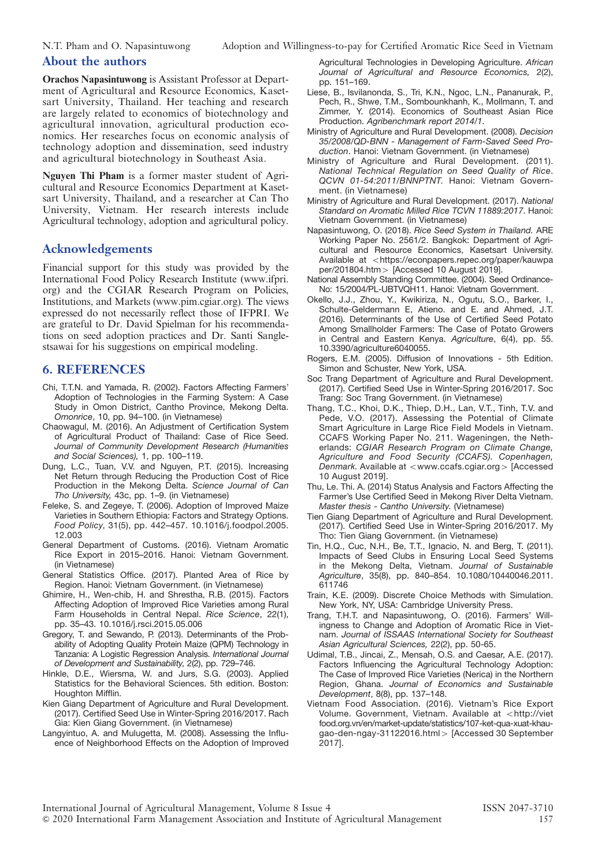#### About the authors

Orachos Napasintuwong is Assistant Professor at Department of Agricultural and Resource Economics, Kasetsart University, Thailand. Her teaching and research are largely related to economics of biotechnology and agricultural innovation, agricultural production economics. Her researches focus on economic analysis of technology adoption and dissemination, seed industry and agricultural biotechnology in Southeast Asia.

Nguyen Thi Pham is a former master student of Agricultural and Resource Economics Department at Kasetsart University, Thailand, and a researcher at Can Tho University, Vietnam. Her research interests include Agricultural technology, adoption and agricultural policy.

#### Acknowledgements

Financial support for this study was provided by the International Food Policy Research Institute (www.ifpri. org) and the CGIAR Research Program on Policies, Institutions, and Markets (www.pim.cgiar.org). The views expressed do not necessarily reflect those of IFPRI. We are grateful to Dr. David Spielman for his recommendations on seed adoption practices and Dr. Santi Sanglestsawai for his suggestions on empirical modeling.

### 6. REFERENCES

- Chi, T.T.N. and Yamada, R. (2002). Factors Affecting Farmers' Adoption of Technologies in the Farming System: A Case Study in Omon District, Cantho Province, Mekong Delta. Omonrice, 10, pp. 94–100. (in Vietnamese)
- Chaowagul, M. (2016). An Adjustment of Certification System of Agricultural Product of Thailand: Case of Rice Seed. Journal of Community Development Research (Humanities and Social Sciences), 1, pp. 100–119.
- Dung, L.C., Tuan, V.V. and Nguyen, P.T. (2015). Increasing Net Return through Reducing the Production Cost of Rice Production in the Mekong Delta. Science Journal of Can Tho University, 43c, pp. 1–9. (in Vietnamese)
- Feleke, S. and Zegeye, T. (2006). Adoption of Improved Maize Varieties in Southern Ethiopia: Factors and Strategy Options. Food Policy, 31(5), pp. 442–457. 10.1016/j.foodpol.2005. 12.003
- General Department of Customs. (2016). Vietnam Aromatic Rice Export in 2015–2016. Hanoi: Vietnam Government. (in Vietnamese)
- General Statistics Office. (2017). Planted Area of Rice by Region. Hanoi: Vietnam Government. (in Vietnamese)
- Ghimire, H., Wen-chib, H. and Shrestha, R.B. (2015). Factors Affecting Adoption of Improved Rice Varieties among Rural Farm Households in Central Nepal. Rice Science, 22(1), pp. 35–43. 10.1016/j.rsci.2015.05.006
- Gregory, T. and Sewando, P. (2013). Determinants of the Probability of Adopting Quality Protein Maize (QPM) Technology in Tanzania: A Logistic Regression Analysis. International Journal of Development and Sustainability, 2(2), pp. 729–746.
- Hinkle, D.E., Wiersma, W. and Jurs, S.G. (2003). Applied Statistics for the Behavioral Sciences. 5th edition. Boston: Houghton Mifflin.
- Kien Giang Department of Agriculture and Rural Development. (2017). Certified Seed Use in Winter-Spring 2016/2017. Rach Gia: Kien Giang Government. (in Vietnamese)
- Langyintuo, A. and Mulugetta, M. (2008). Assessing the Influence of Neighborhood Effects on the Adoption of Improved

Agricultural Technologies in Developing Agriculture. African Journal of Agricultural and Resource Economics, 2(2), pp. 151–169.

- Liese, B., Isvilanonda, S., Tri, K.N., Ngoc, L.N., Pananurak, P., Pech, R., Shwe, T.M., Sombounkhanh, K., Mollmann, T. and Zimmer, Y. (2014). Economics of Southeast Asian Rice Production. Agribenchmark report 2014/1.
- Ministry of Agriculture and Rural Development. (2008). Decision 35/2008/QD-BNN - Management of Farm-Saved Seed Production. Hanoi: Vietnam Government. (in Vietnamese)
- Ministry of Agriculture and Rural Development. (2011). National Technical Regulation on Seed Quality of Rice. QCVN 01-54:2011/BNNPTNT. Hanoi: Vietnam Government. (in Vietnamese)
- Ministry of Agriculture and Rural Development. (2017). National Standard on Aromatic Milled Rice TCVN 11889:2017. Hanoi: Vietnam Government. (in Vietnamese)
- Napasintuwong, O. (2018). Rice Seed System in Thailand. ARE Working Paper No. 2561/2. Bangkok: Department of Agricultural and Resource Economics, Kasetsart University. Available at <https://econpapers.repec.org/paper/kauwpa  $per/201804.htm$  [Accessed 10 August 2019].
- National Assembly Standing Committee. (2004). Seed Ordinance-No: 15/2004/PL-UBTVQH11. Hanoi: Vietnam Government.
- Okello, J.J., Zhou, Y., Kwikiriza, N., Ogutu, S.O., Barker, I., Schulte-Geldermann E, Atieno. and E. and Ahmed, J.T. (2016). Determinants of the Use of Certified Seed Potato Among Smallholder Farmers: The Case of Potato Growers in Central and Eastern Kenya. Agriculture, 6(4), pp. 55. 10.3390/agriculture6040055.
- Rogers, E.M. (2005). Diffusion of Innovations 5th Edition. Simon and Schuster, New York, USA.
- Soc Trang Department of Agriculture and Rural Development. (2017). Certified Seed Use in Winter-Spring 2016/2017. Soc Trang: Soc Trang Government. (in Vietnamese)
- Thang, T.C., Khoi, D.K., Thiep, D.H., Lan, V.T., Tinh, T.V. and Pede, V.O. (2017). Assessing the Potential of Climate Smart Agriculture in Large Rice Field Models in Vietnam. CCAFS Working Paper No. 211. Wageningen, the Netherlands: CGIAR Research Program on Climate Change, Agriculture and Food Security (CCAFS). Copenhagen, Denmark. Available at  $\langle$  www.ccafs.cgiar.org  $>$  [Accessed 10 August 2019].
- Thu, Le. Thi. A. (2014) Status Analysis and Factors Affecting the Farmer's Use Certified Seed in Mekong River Delta Vietnam. Master thesis - Cantho University. (Vietnamese)
- Tien Giang Department of Agriculture and Rural Development. (2017). Certified Seed Use in Winter-Spring 2016/2017. My Tho: Tien Giang Government. (in Vietnamese)
- Tin, H.Q., Cuc, N.H., Be, T.T., Ignacio, N. and Berg, T. (2011). Impacts of Seed Clubs in Ensuring Local Seed Systems in the Mekong Delta, Vietnam. Journal of Sustainable Agriculture, 35(8), pp. 840–854. 10.1080/10440046.2011. 611746
- Train, K.E. (2009). Discrete Choice Methods with Simulation. New York, NY, USA: Cambridge University Press.
- Trang, T.H.T. and Napasintuwong, O. (2016). Farmers' Willingness to Change and Adoption of Aromatic Rice in Vietnam. Journal of ISSAAS International Society for Southeast Asian Agricultural Sciences, 22(2), pp. 50-65.
- Udimal, T.B., Jincai, Z., Mensah, O.S. and Caesar, A.E. (2017). Factors Influencing the Agricultural Technology Adoption: The Case of Improved Rice Varieties (Nerica) in the Northern Region, Ghana. Journal of Economics and Sustainable Development, 8(8), pp. 137–148.
- Vietnam Food Association. (2016). Vietnam's Rice Export Volume. Government, Vietnam. Available at <http://viet food.org.vn/en/market-update/statistics/107-ket-qua-xuat-khaugao-den-ngay-31122016.html > [Accessed 30 September 2017].